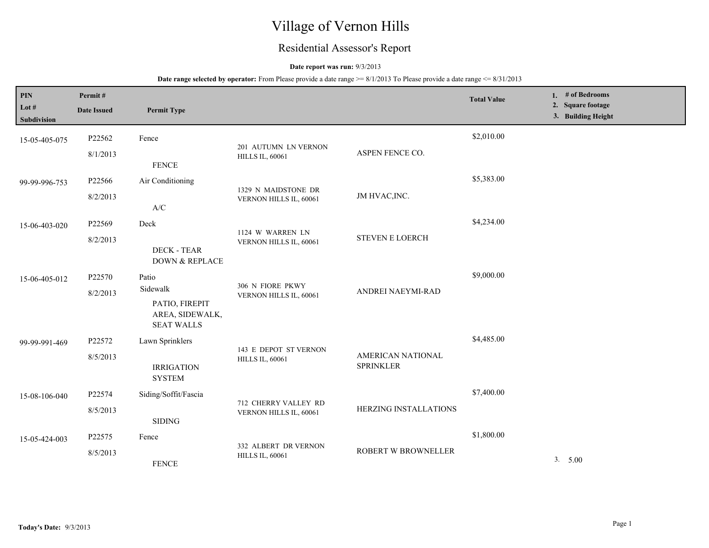# Village of Vernon Hills

## Residential Assessor's Report

## **Date report was run:** 9/3/2013

| PIN<br>Lot $#$<br>Subdivision | Permit#<br><b>Date Issued</b> | <b>Permit Type</b>                                                 |                                                |                                       | <b>Total Value</b> | 1. # of Bedrooms<br>2. Square footage<br>3. Building Height |
|-------------------------------|-------------------------------|--------------------------------------------------------------------|------------------------------------------------|---------------------------------------|--------------------|-------------------------------------------------------------|
| 15-05-405-075                 | P22562                        | Fence                                                              | 201 AUTUMN LN VERNON                           |                                       | \$2,010.00         |                                                             |
|                               | 8/1/2013                      | <b>FENCE</b>                                                       | <b>HILLS IL, 60061</b>                         | ASPEN FENCE CO.                       |                    |                                                             |
| 99-99-996-753                 | P22566                        | Air Conditioning                                                   |                                                |                                       | \$5,383.00         |                                                             |
|                               | 8/2/2013                      | A/C                                                                | 1329 N MAIDSTONE DR<br>VERNON HILLS IL, 60061  | JM HVAC, INC.                         |                    |                                                             |
| 15-06-403-020                 | P22569                        | Deck                                                               | 1124 W WARREN LN                               |                                       | \$4,234.00         |                                                             |
|                               | 8/2/2013                      | <b>DECK - TEAR</b><br>DOWN & REPLACE                               | VERNON HILLS IL, 60061                         | <b>STEVEN E LOERCH</b>                |                    |                                                             |
| 15-06-405-012                 | P22570                        | Patio                                                              |                                                | ANDREI NAEYMI-RAD                     | \$9,000.00         |                                                             |
|                               | 8/2/2013                      | Sidewalk<br>PATIO, FIREPIT<br>AREA, SIDEWALK,<br><b>SEAT WALLS</b> | 306 N FIORE PKWY<br>VERNON HILLS IL, 60061     |                                       |                    |                                                             |
| 99-99-991-469                 | P22572                        | Lawn Sprinklers                                                    | 143 E DEPOT ST VERNON                          |                                       | \$4,485.00         |                                                             |
|                               | 8/5/2013                      | <b>IRRIGATION</b><br><b>SYSTEM</b>                                 | <b>HILLS IL, 60061</b>                         | AMERICAN NATIONAL<br><b>SPRINKLER</b> |                    |                                                             |
| 15-08-106-040                 | P22574                        | Siding/Soffit/Fascia                                               |                                                |                                       | \$7,400.00         |                                                             |
|                               | 8/5/2013                      | <b>SIDING</b>                                                      | 712 CHERRY VALLEY RD<br>VERNON HILLS IL, 60061 | HERZING INSTALLATIONS                 |                    |                                                             |
| 15-05-424-003                 | P22575                        | Fence                                                              |                                                | ROBERT W BROWNELLER                   | \$1,800.00         |                                                             |
|                               | 8/5/2013                      | <b>FENCE</b>                                                       | 332 ALBERT DR VERNON<br><b>HILLS IL, 60061</b> |                                       |                    | 3. 5.00                                                     |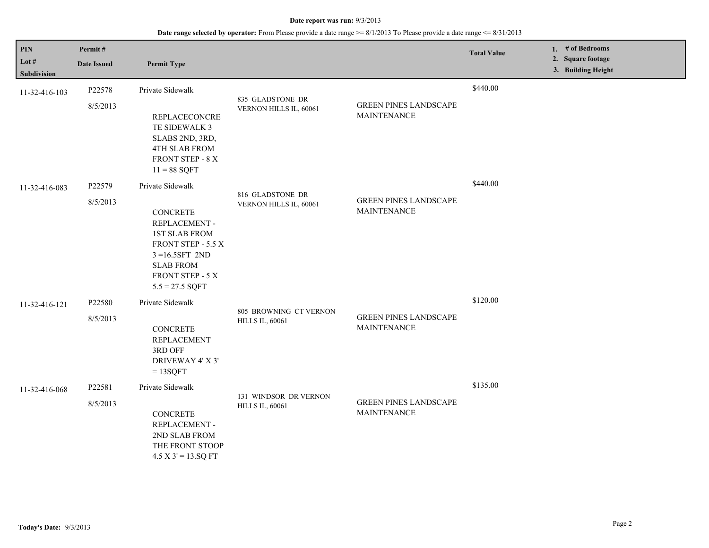| PIN<br>Lot $#$<br>Subdivision | Permit#<br><b>Date Issued</b> | <b>Permit Type</b>                                                                                                                                                            |                                                  |                                                    | <b>Total Value</b> | # of Bedrooms<br>1.<br>2. Square footage<br>3. Building Height |
|-------------------------------|-------------------------------|-------------------------------------------------------------------------------------------------------------------------------------------------------------------------------|--------------------------------------------------|----------------------------------------------------|--------------------|----------------------------------------------------------------|
| 11-32-416-103                 | P22578<br>8/5/2013            | Private Sidewalk<br>REPLACECONCRE<br>TE SIDEWALK 3<br>SLABS 2ND, 3RD,<br><b>4TH SLAB FROM</b><br>FRONT STEP - 8 X<br>$11 = 88$ SQFT                                           | 835 GLADSTONE DR<br>VERNON HILLS IL, 60061       | <b>GREEN PINES LANDSCAPE</b><br><b>MAINTENANCE</b> | \$440.00           |                                                                |
| 11-32-416-083                 | P22579<br>8/5/2013            | Private Sidewalk<br>CONCRETE<br>REPLACEMENT -<br><b>1ST SLAB FROM</b><br>FRONT STEP - 5.5 X<br>$3 = 16.5SFT 2ND$<br><b>SLAB FROM</b><br>FRONT STEP - 5 X<br>$5.5 = 27.5$ SQFT | 816 GLADSTONE DR<br>VERNON HILLS IL, 60061       | <b>GREEN PINES LANDSCAPE</b><br><b>MAINTENANCE</b> | \$440.00           |                                                                |
| 11-32-416-121                 | P22580<br>8/5/2013            | Private Sidewalk<br><b>CONCRETE</b><br>REPLACEMENT<br>3RD OFF<br>DRIVEWAY 4' X 3'<br>$=13SQFT$                                                                                | 805 BROWNING CT VERNON<br><b>HILLS IL, 60061</b> | <b>GREEN PINES LANDSCAPE</b><br><b>MAINTENANCE</b> | \$120.00           |                                                                |
| 11-32-416-068                 | P22581<br>8/5/2013            | Private Sidewalk<br>CONCRETE<br>REPLACEMENT -<br>2ND SLAB FROM<br>THE FRONT STOOP<br>$4.5 X 3' = 13.SQ FT$                                                                    | 131 WINDSOR DR VERNON<br><b>HILLS IL, 60061</b>  | <b>GREEN PINES LANDSCAPE</b><br><b>MAINTENANCE</b> | \$135.00           |                                                                |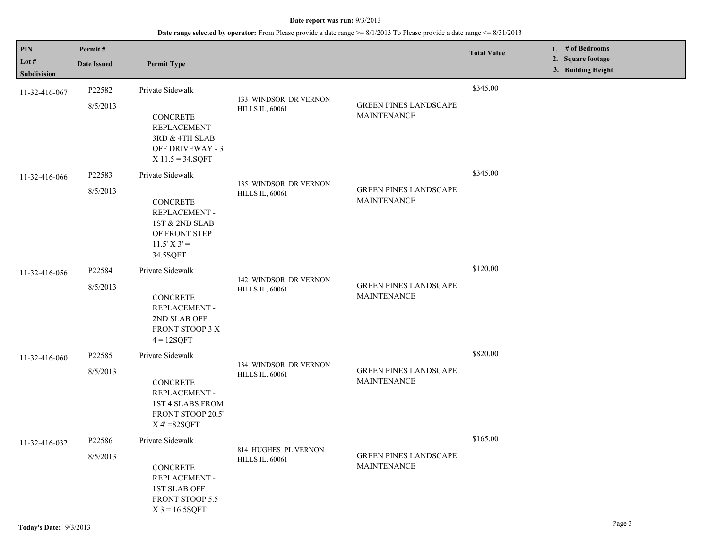| PIN<br>Lot #<br>Subdivision | Permit#<br><b>Date Issued</b> | <b>Permit Type</b>                                                                                                    |                                                 |                                                    | <b>Total Value</b> | 1. # of Bedrooms<br>2. Square footage<br>3. Building Height |
|-----------------------------|-------------------------------|-----------------------------------------------------------------------------------------------------------------------|-------------------------------------------------|----------------------------------------------------|--------------------|-------------------------------------------------------------|
| 11-32-416-067               | P22582<br>8/5/2013            | Private Sidewalk<br><b>CONCRETE</b><br>REPLACEMENT -<br>3RD & 4TH SLAB<br>OFF DRIVEWAY - 3<br>$X 11.5 = 34.SQFT$      | 133 WINDSOR DR VERNON<br><b>HILLS IL, 60061</b> | <b>GREEN PINES LANDSCAPE</b><br>MAINTENANCE        | \$345.00           |                                                             |
| 11-32-416-066               | P22583<br>8/5/2013            | Private Sidewalk<br><b>CONCRETE</b><br>REPLACEMENT -<br>1ST & 2ND SLAB<br>OF FRONT STEP<br>$11.5'$ X 3' =<br>34.5SQFT | 135 WINDSOR DR VERNON<br><b>HILLS IL, 60061</b> | <b>GREEN PINES LANDSCAPE</b><br><b>MAINTENANCE</b> | \$345.00           |                                                             |
| 11-32-416-056               | P22584<br>8/5/2013            | Private Sidewalk<br>CONCRETE<br>REPLACEMENT -<br>2ND SLAB OFF<br>FRONT STOOP 3 X<br>$4 = 12SQFT$                      | 142 WINDSOR DR VERNON<br><b>HILLS IL, 60061</b> | <b>GREEN PINES LANDSCAPE</b><br><b>MAINTENANCE</b> | \$120.00           |                                                             |
| 11-32-416-060               | P22585<br>8/5/2013            | Private Sidewalk<br>CONCRETE<br>REPLACEMENT -<br>1ST 4 SLABS FROM<br>FRONT STOOP 20.5'<br>$X 4' = 82SQFT$             | 134 WINDSOR DR VERNON<br><b>HILLS IL, 60061</b> | <b>GREEN PINES LANDSCAPE</b><br><b>MAINTENANCE</b> | \$820.00           |                                                             |
| 11-32-416-032               | P22586<br>8/5/2013            | Private Sidewalk<br><b>CONCRETE</b><br>REPLACEMENT -<br><b>1ST SLAB OFF</b><br>FRONT STOOP 5.5<br>$X$ 3 = 16.5SQFT    | 814 HUGHES PL VERNON<br><b>HILLS IL, 60061</b>  | <b>GREEN PINES LANDSCAPE</b><br><b>MAINTENANCE</b> | \$165.00           |                                                             |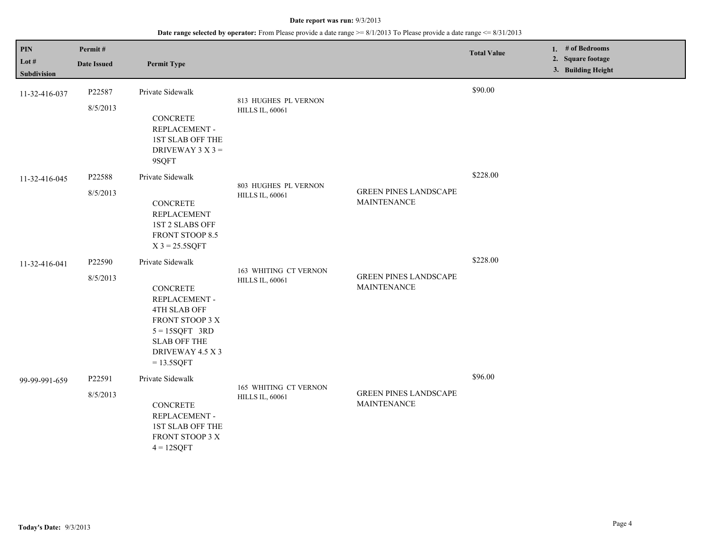| PIN<br>Lot $#$<br>Subdivision | Permit#<br><b>Date Issued</b> | <b>Permit Type</b>                                                                                                                                                             |                                                 |                                                    | <b>Total Value</b> | 1. $#$ of Bedrooms<br>2. Square footage<br>3. Building Height |
|-------------------------------|-------------------------------|--------------------------------------------------------------------------------------------------------------------------------------------------------------------------------|-------------------------------------------------|----------------------------------------------------|--------------------|---------------------------------------------------------------|
| 11-32-416-037                 | P22587<br>8/5/2013            | Private Sidewalk<br><b>CONCRETE</b><br>REPLACEMENT -<br>1ST SLAB OFF THE<br>DRIVEWAY $3 X 3 =$<br>9SQFT                                                                        | 813 HUGHES PL VERNON<br><b>HILLS IL, 60061</b>  |                                                    | \$90.00            |                                                               |
| 11-32-416-045                 | P22588<br>8/5/2013            | Private Sidewalk<br><b>CONCRETE</b><br><b>REPLACEMENT</b><br>1ST 2 SLABS OFF<br><b>FRONT STOOP 8.5</b><br>$X$ 3 = 25.5SQFT                                                     | 803 HUGHES PL VERNON<br><b>HILLS IL, 60061</b>  | <b>GREEN PINES LANDSCAPE</b><br><b>MAINTENANCE</b> | \$228.00           |                                                               |
| 11-32-416-041                 | P22590<br>8/5/2013            | Private Sidewalk<br>CONCRETE<br>REPLACEMENT -<br><b>4TH SLAB OFF</b><br>FRONT STOOP 3 X<br>$5 = 15 \text{SQFT}$ 3RD<br><b>SLAB OFF THE</b><br>DRIVEWAY 4.5 X 3<br>$= 13.5SQFT$ | 163 WHITING CT VERNON<br><b>HILLS IL, 60061</b> | <b>GREEN PINES LANDSCAPE</b><br><b>MAINTENANCE</b> | \$228.00           |                                                               |
| 99-99-991-659                 | P22591<br>8/5/2013            | Private Sidewalk<br><b>CONCRETE</b><br>REPLACEMENT -<br><b>1ST SLAB OFF THE</b><br>FRONT STOOP 3 X<br>$4 = 12SQFT$                                                             | 165 WHITING CT VERNON<br><b>HILLS IL, 60061</b> | <b>GREEN PINES LANDSCAPE</b><br><b>MAINTENANCE</b> | \$96.00            |                                                               |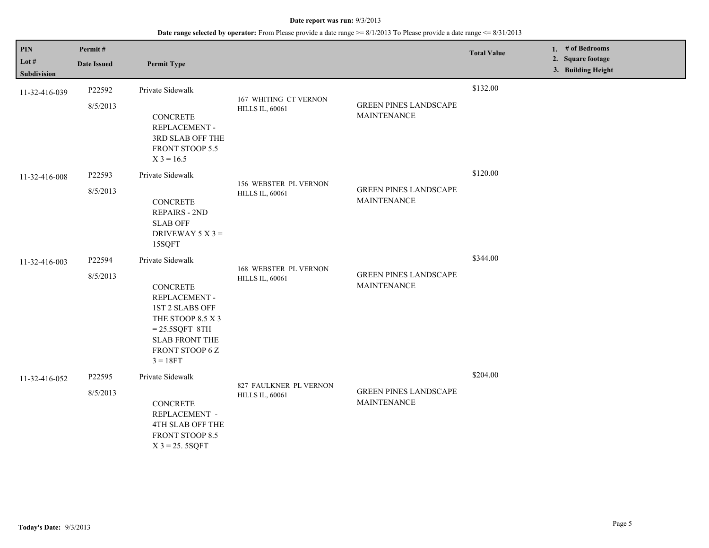| <b>PIN</b><br>Lot $#$<br>Subdivision | Permit#<br><b>Date Issued</b> | <b>Permit Type</b>                                                                                                                                                         |                                                        |                                                    | <b>Total Value</b> | 1. $#$ of Bedrooms<br>2. Square footage<br>3. Building Height |
|--------------------------------------|-------------------------------|----------------------------------------------------------------------------------------------------------------------------------------------------------------------------|--------------------------------------------------------|----------------------------------------------------|--------------------|---------------------------------------------------------------|
| 11-32-416-039                        | P22592<br>8/5/2013            | Private Sidewalk<br>CONCRETE<br>REPLACEMENT -<br>3RD SLAB OFF THE<br>FRONT STOOP 5.5<br>$X$ 3 = 16.5                                                                       | 167 WHITING CT VERNON<br><b>HILLS IL, 60061</b>        | <b>GREEN PINES LANDSCAPE</b><br><b>MAINTENANCE</b> | \$132.00           |                                                               |
| 11-32-416-008                        | P22593<br>8/5/2013            | Private Sidewalk<br><b>CONCRETE</b><br><b>REPAIRS - 2ND</b><br><b>SLAB OFF</b><br>DRIVEWAY $5 X 3 =$<br>15SQFT                                                             | 156 WEBSTER PL VERNON<br><b>HILLS IL, 60061</b>        | <b>GREEN PINES LANDSCAPE</b><br><b>MAINTENANCE</b> | \$120.00           |                                                               |
| 11-32-416-003                        | P22594<br>8/5/2013            | Private Sidewalk<br><b>CONCRETE</b><br>REPLACEMENT -<br>1ST 2 SLABS OFF<br>THE STOOP 8.5 X 3<br>$= 25.5SQFT 8TH$<br><b>SLAB FRONT THE</b><br>FRONT STOOP 6 Z<br>$3 = 18FT$ | <b>168 WEBSTER PL VERNON</b><br><b>HILLS IL, 60061</b> | <b>GREEN PINES LANDSCAPE</b><br><b>MAINTENANCE</b> | \$344.00           |                                                               |
| 11-32-416-052                        | P22595<br>8/5/2013            | Private Sidewalk<br><b>CONCRETE</b><br>REPLACEMENT -<br>4TH SLAB OFF THE<br>FRONT STOOP 8.5<br>$X$ 3 = 25.5SQFT                                                            | 827 FAULKNER PL VERNON<br><b>HILLS IL, 60061</b>       | <b>GREEN PINES LANDSCAPE</b><br><b>MAINTENANCE</b> | \$204.00           |                                                               |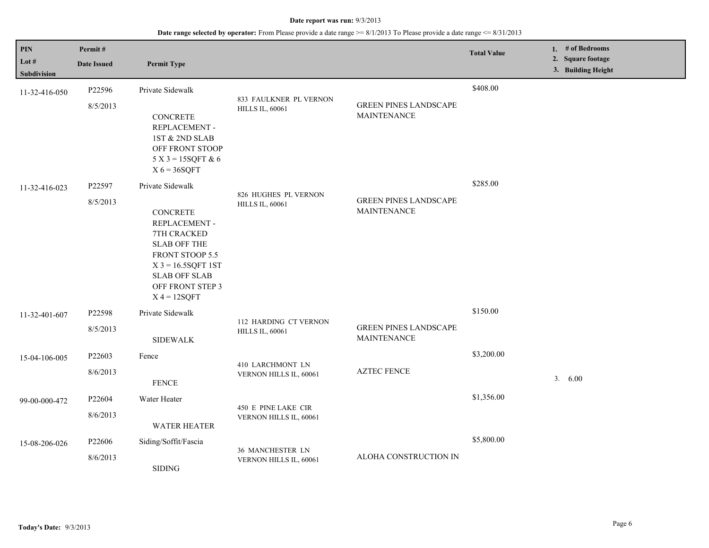| PIN                | Permit#            |                                                                                                                                                                               |                                                 |                                                    | <b>Total Value</b> | 1. $#$ of Bedrooms                      |
|--------------------|--------------------|-------------------------------------------------------------------------------------------------------------------------------------------------------------------------------|-------------------------------------------------|----------------------------------------------------|--------------------|-----------------------------------------|
| Lot $#$            | <b>Date Issued</b> | <b>Permit Type</b>                                                                                                                                                            |                                                 |                                                    |                    | 2. Square footage<br>3. Building Height |
| <b>Subdivision</b> |                    |                                                                                                                                                                               |                                                 |                                                    |                    |                                         |
| 11-32-416-050      | P22596             | Private Sidewalk                                                                                                                                                              | 833 FAULKNER PL VERNON                          |                                                    | \$408.00           |                                         |
|                    | 8/5/2013           | <b>CONCRETE</b><br>REPLACEMENT -<br>1ST & 2ND SLAB<br>OFF FRONT STOOP<br>$5 X 3 = 15$ SQFT & 6<br>$X 6 = 36SQFT$                                                              | <b>HILLS IL, 60061</b>                          | <b>GREEN PINES LANDSCAPE</b><br><b>MAINTENANCE</b> |                    |                                         |
| 11-32-416-023      | P22597             | Private Sidewalk                                                                                                                                                              |                                                 |                                                    | \$285.00           |                                         |
|                    | 8/5/2013           | <b>CONCRETE</b><br>REPLACEMENT -<br>7TH CRACKED<br><b>SLAB OFF THE</b><br>FRONT STOOP 5.5<br>$X$ 3 = 16.5SQFT 1ST<br><b>SLAB OFF SLAB</b><br>OFF FRONT STEP 3<br>$X = 12SQFT$ | 826 HUGHES PL VERNON<br><b>HILLS IL, 60061</b>  | <b>GREEN PINES LANDSCAPE</b><br><b>MAINTENANCE</b> |                    |                                         |
| 11-32-401-607      | P22598             | Private Sidewalk                                                                                                                                                              |                                                 |                                                    | \$150.00           |                                         |
|                    | 8/5/2013           | <b>SIDEWALK</b>                                                                                                                                                               | 112 HARDING CT VERNON<br><b>HILLS IL, 60061</b> | <b>GREEN PINES LANDSCAPE</b><br><b>MAINTENANCE</b> |                    |                                         |
| 15-04-106-005      | P22603             | Fence                                                                                                                                                                         |                                                 |                                                    | \$3,200.00         |                                         |
|                    | 8/6/2013           | <b>FENCE</b>                                                                                                                                                                  | 410 LARCHMONT LN<br>VERNON HILLS IL, 60061      | <b>AZTEC FENCE</b>                                 |                    | 3. 6.00                                 |
| 99-00-000-472      | P22604             | Water Heater                                                                                                                                                                  |                                                 |                                                    | \$1,356.00         |                                         |
|                    | 8/6/2013           | <b>WATER HEATER</b>                                                                                                                                                           | 450 E PINE LAKE CIR<br>VERNON HILLS IL, 60061   |                                                    |                    |                                         |
| 15-08-206-026      | P22606             | Siding/Soffit/Fascia                                                                                                                                                          |                                                 | ALOHA CONSTRUCTION IN                              | \$5,800.00         |                                         |
|                    | 8/6/2013           | <b>SIDING</b>                                                                                                                                                                 | 36 MANCHESTER LN<br>VERNON HILLS IL, 60061      |                                                    |                    |                                         |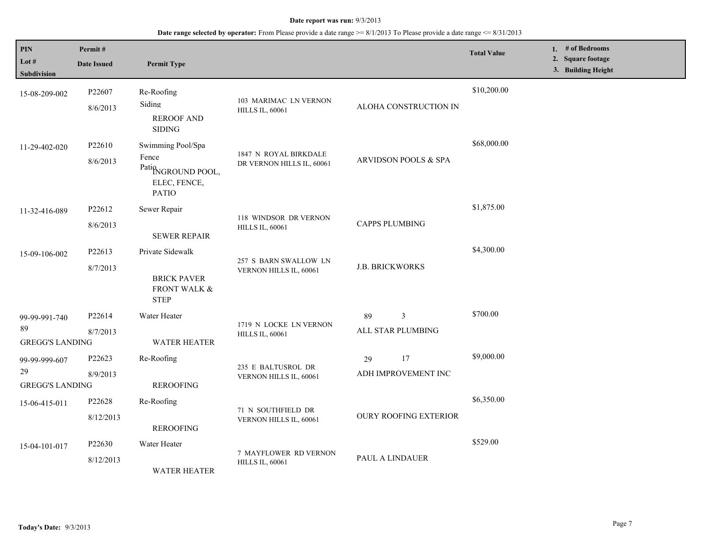| PIN<br>Lot #<br>Subdivision                   | Permit#<br><b>Date Issued</b>  | <b>Permit Type</b>                                                               |                                                    |                                 | <b>Total Value</b> | 1. # of Bedrooms<br>2. Square footage<br>3. Building Height |
|-----------------------------------------------|--------------------------------|----------------------------------------------------------------------------------|----------------------------------------------------|---------------------------------|--------------------|-------------------------------------------------------------|
| 15-08-209-002                                 | P22607<br>8/6/2013             | Re-Roofing<br>Siding<br><b>REROOF AND</b><br><b>SIDING</b>                       | 103 MARIMAC LN VERNON<br><b>HILLS IL, 60061</b>    | ALOHA CONSTRUCTION IN           | \$10,200.00        |                                                             |
| 11-29-402-020                                 | P <sub>22610</sub><br>8/6/2013 | Swimming Pool/Spa<br>Fence<br>PatioNGROUND POOL,<br>ELEC, FENCE,<br><b>PATIO</b> | 1847 N ROYAL BIRKDALE<br>DR VERNON HILLS IL, 60061 | ARVIDSON POOLS & SPA            | \$68,000.00        |                                                             |
| 11-32-416-089                                 | P22612<br>8/6/2013             | Sewer Repair<br><b>SEWER REPAIR</b>                                              | 118 WINDSOR DR VERNON<br><b>HILLS IL, 60061</b>    | <b>CAPPS PLUMBING</b>           | \$1,875.00         |                                                             |
| 15-09-106-002                                 | P22613<br>8/7/2013             | Private Sidewalk<br><b>BRICK PAVER</b><br>FRONT WALK &<br><b>STEP</b>            | 257 S BARN SWALLOW LN<br>VERNON HILLS IL, 60061    | <b>J.B. BRICKWORKS</b>          | \$4,300.00         |                                                             |
| 99-99-991-740<br>89<br><b>GREGG'S LANDING</b> | P <sub>22614</sub><br>8/7/2013 | Water Heater<br><b>WATER HEATER</b>                                              | 1719 N LOCKE LN VERNON<br><b>HILLS IL, 60061</b>   | 3<br>89<br>ALL STAR PLUMBING    | \$700.00           |                                                             |
| 99-99-999-607<br>29<br><b>GREGG'S LANDING</b> | P <sub>22623</sub><br>8/9/2013 | Re-Roofing<br><b>REROOFING</b>                                                   | 235 E BALTUSROL DR<br>VERNON HILLS IL, 60061       | 17<br>29<br>ADH IMPROVEMENT INC | \$9,000.00         |                                                             |
| 15-06-415-011                                 | P22628<br>8/12/2013            | Re-Roofing<br><b>REROOFING</b>                                                   | 71 N SOUTHFIELD DR<br>VERNON HILLS IL, 60061       | <b>OURY ROOFING EXTERIOR</b>    | \$6,350.00         |                                                             |
| 15-04-101-017                                 | P22630<br>8/12/2013            | Water Heater<br><b>WATER HEATER</b>                                              | 7 MAYFLOWER RD VERNON<br><b>HILLS IL, 60061</b>    | PAUL A LINDAUER                 | \$529.00           |                                                             |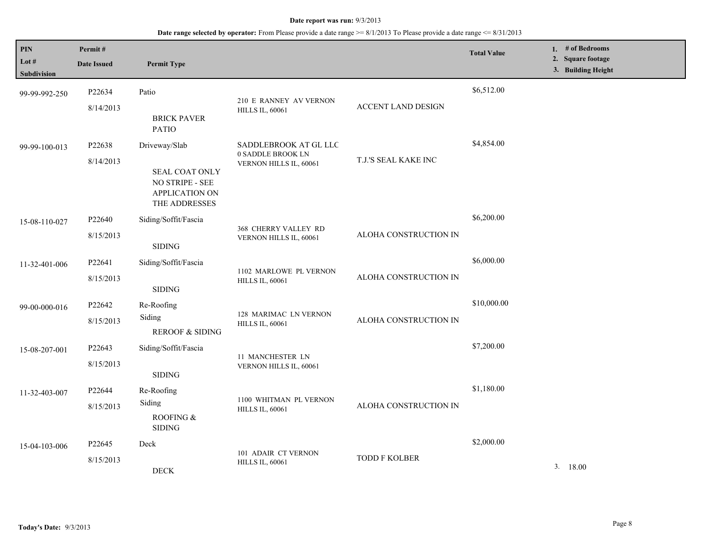| PIN<br>Lot $#$<br>Subdivision | Permit#<br><b>Date Issued</b> | <b>Permit Type</b>                                                                           |                                                                      |                           | <b>Total Value</b> | 1. # of Bedrooms<br>2. Square footage<br>3. Building Height |
|-------------------------------|-------------------------------|----------------------------------------------------------------------------------------------|----------------------------------------------------------------------|---------------------------|--------------------|-------------------------------------------------------------|
| 99-99-992-250                 | P22634<br>8/14/2013           | Patio<br><b>BRICK PAVER</b><br><b>PATIO</b>                                                  | 210 E RANNEY AV VERNON<br><b>HILLS IL, 60061</b>                     | <b>ACCENT LAND DESIGN</b> | \$6,512.00         |                                                             |
| 99-99-100-013                 | P22638<br>8/14/2013           | Driveway/Slab<br><b>SEAL COAT ONLY</b><br>NO STRIPE - SEE<br>APPLICATION ON<br>THE ADDRESSES | SADDLEBROOK AT GL LLC<br>0 SADDLE BROOK LN<br>VERNON HILLS IL, 60061 | T.J.'S SEAL KAKE INC      | \$4,854.00         |                                                             |
| 15-08-110-027                 | P22640<br>8/15/2013           | Siding/Soffit/Fascia<br><b>SIDING</b>                                                        | 368 CHERRY VALLEY RD<br>VERNON HILLS IL, 60061                       | ALOHA CONSTRUCTION IN     | \$6,200.00         |                                                             |
| 11-32-401-006                 | P22641<br>8/15/2013           | Siding/Soffit/Fascia<br><b>SIDING</b>                                                        | 1102 MARLOWE PL VERNON<br><b>HILLS IL, 60061</b>                     | ALOHA CONSTRUCTION IN     | \$6,000.00         |                                                             |
| 99-00-000-016                 | P22642<br>8/15/2013           | Re-Roofing<br>Siding<br><b>REROOF &amp; SIDING</b>                                           | 128 MARIMAC LN VERNON<br><b>HILLS IL, 60061</b>                      | ALOHA CONSTRUCTION IN     | \$10,000.00        |                                                             |
| 15-08-207-001                 | P22643<br>8/15/2013           | Siding/Soffit/Fascia<br><b>SIDING</b>                                                        | 11 MANCHESTER LN<br>VERNON HILLS IL, 60061                           |                           | \$7,200.00         |                                                             |
| 11-32-403-007                 | P22644<br>8/15/2013           | Re-Roofing<br>Siding<br>ROOFING &<br><b>SIDING</b>                                           | 1100 WHITMAN PL VERNON<br><b>HILLS IL, 60061</b>                     | ALOHA CONSTRUCTION IN     | \$1,180.00         |                                                             |
| 15-04-103-006                 | P22645<br>8/15/2013           | Deck<br><b>DECK</b>                                                                          | 101 ADAIR CT VERNON<br><b>HILLS IL, 60061</b>                        | <b>TODD F KOLBER</b>      | \$2,000.00         | 3.18.00                                                     |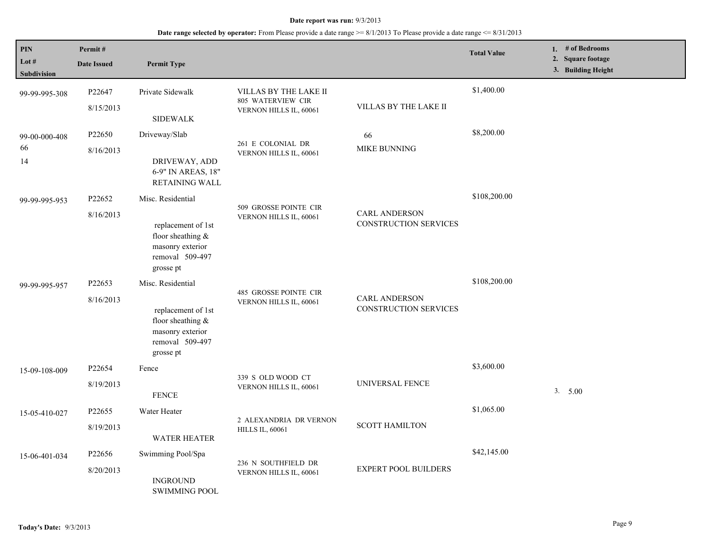| $\mathbf{PIN}$<br>Lot #<br>Subdivision | Permit#<br><b>Date Issued</b> | <b>Permit Type</b>                                                                                               |                                                                      |                                                      | <b>Total Value</b> | 1. $#$ of Bedrooms<br>2. Square footage<br>3. Building Height |
|----------------------------------------|-------------------------------|------------------------------------------------------------------------------------------------------------------|----------------------------------------------------------------------|------------------------------------------------------|--------------------|---------------------------------------------------------------|
| 99-99-995-308                          | P22647<br>8/15/2013           | Private Sidewalk<br><b>SIDEWALK</b>                                                                              | VILLAS BY THE LAKE II<br>805 WATERVIEW CIR<br>VERNON HILLS IL, 60061 | VILLAS BY THE LAKE II                                | \$1,400.00         |                                                               |
| 99-00-000-408<br>66<br>14              | P22650<br>8/16/2013           | Driveway/Slab<br>DRIVEWAY, ADD<br>6-9" IN AREAS, 18"<br>RETAINING WALL                                           | 261 E COLONIAL DR<br>VERNON HILLS IL, 60061                          | 66<br>MIKE BUNNING                                   | \$8,200.00         |                                                               |
| 99-99-995-953                          | P22652<br>8/16/2013           | Misc. Residential<br>replacement of 1st<br>floor sheathing &<br>masonry exterior<br>removal 509-497<br>grosse pt | 509 GROSSE POINTE CIR<br>VERNON HILLS IL, 60061                      | <b>CARL ANDERSON</b><br><b>CONSTRUCTION SERVICES</b> | \$108,200.00       |                                                               |
| 99-99-995-957                          | P22653<br>8/16/2013           | Misc. Residential<br>replacement of 1st<br>floor sheathing &<br>masonry exterior<br>removal 509-497<br>grosse pt | <b>485 GROSSE POINTE CIR</b><br>VERNON HILLS IL, 60061               | <b>CARL ANDERSON</b><br>CONSTRUCTION SERVICES        | \$108,200.00       |                                                               |
| 15-09-108-009                          | P22654<br>8/19/2013           | Fence<br><b>FENCE</b>                                                                                            | 339 S OLD WOOD CT<br>VERNON HILLS IL, 60061                          | UNIVERSAL FENCE                                      | \$3,600.00         | 3. 5.00                                                       |
| 15-05-410-027                          | P22655<br>8/19/2013           | Water Heater<br><b>WATER HEATER</b>                                                                              | 2 ALEXANDRIA DR VERNON<br><b>HILLS IL, 60061</b>                     | <b>SCOTT HAMILTON</b>                                | \$1,065.00         |                                                               |
| 15-06-401-034                          | P22656<br>8/20/2013           | Swimming Pool/Spa<br><b>INGROUND</b><br><b>SWIMMING POOL</b>                                                     | 236 N SOUTHFIELD DR<br>VERNON HILLS IL, 60061                        | <b>EXPERT POOL BUILDERS</b>                          | \$42,145.00        |                                                               |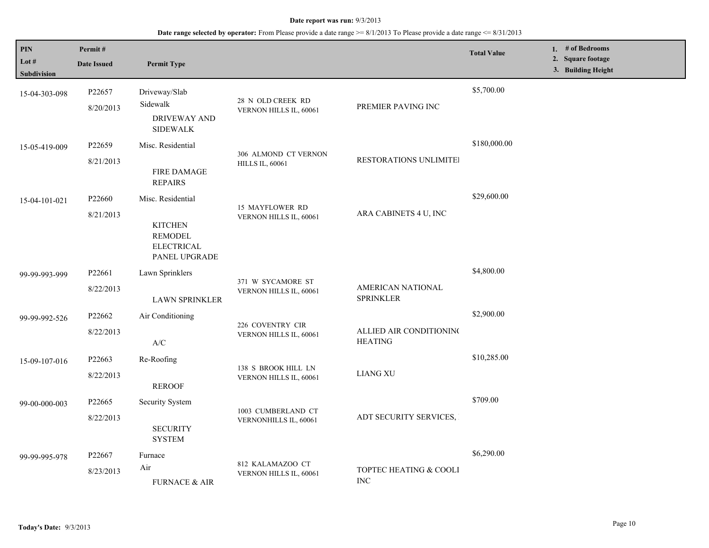| PIN<br>Lot $#$<br>Subdivision | Permit#<br><b>Date Issued</b>   | <b>Permit Type</b>                                                                          |                                                  |                                           | <b>Total Value</b> | 1. $#$ of Bedrooms<br>2. Square footage<br>3. Building Height |
|-------------------------------|---------------------------------|---------------------------------------------------------------------------------------------|--------------------------------------------------|-------------------------------------------|--------------------|---------------------------------------------------------------|
| 15-04-303-098                 | P22657<br>8/20/2013             | Driveway/Slab<br>Sidewalk<br>DRIVEWAY AND<br><b>SIDEWALK</b>                                | 28 N OLD CREEK RD<br>VERNON HILLS IL, 60061      | PREMIER PAVING INC                        | \$5,700.00         |                                                               |
| 15-05-419-009                 | P <sub>22659</sub><br>8/21/2013 | Misc. Residential<br><b>FIRE DAMAGE</b><br><b>REPAIRS</b>                                   | 306 ALMOND CT VERNON<br><b>HILLS IL, 60061</b>   | <b>RESTORATIONS UNLIMITE!</b>             | \$180,000.00       |                                                               |
| 15-04-101-021                 | P22660<br>8/21/2013             | Misc. Residential<br><b>KITCHEN</b><br><b>REMODEL</b><br><b>ELECTRICAL</b><br>PANEL UPGRADE | <b>15 MAYFLOWER RD</b><br>VERNON HILLS IL, 60061 | ARA CABINETS 4 U, INC                     | \$29,600.00        |                                                               |
| 99-99-993-999                 | P22661<br>8/22/2013             | Lawn Sprinklers<br><b>LAWN SPRINKLER</b>                                                    | 371 W SYCAMORE ST<br>VERNON HILLS IL, 60061      | AMERICAN NATIONAL<br><b>SPRINKLER</b>     | \$4,800.00         |                                                               |
| 99-99-992-526                 | P <sub>22662</sub><br>8/22/2013 | Air Conditioning<br>$\mathbf{A}/\mathbf{C}$                                                 | 226 COVENTRY CIR<br>VERNON HILLS IL, 60061       | ALLIED AIR CONDITIONING<br><b>HEATING</b> | \$2,900.00         |                                                               |
| 15-09-107-016                 | P <sub>22663</sub><br>8/22/2013 | Re-Roofing<br><b>REROOF</b>                                                                 | 138 S BROOK HILL LN<br>VERNON HILLS IL, 60061    | <b>LIANG XU</b>                           | \$10,285.00        |                                                               |
| 99-00-000-003                 | P22665<br>8/22/2013             | Security System<br><b>SECURITY</b><br><b>SYSTEM</b>                                         | 1003 CUMBERLAND CT<br>VERNONHILLS IL, 60061      | ADT SECURITY SERVICES,                    | \$709.00           |                                                               |
| 99-99-995-978                 | P22667<br>8/23/2013             | Furnace<br>Air<br>FURNACE & AIR                                                             | 812 KALAMAZOO CT<br>VERNON HILLS IL, 60061       | TOPTEC HEATING & COOLI<br><b>INC</b>      | \$6,290.00         |                                                               |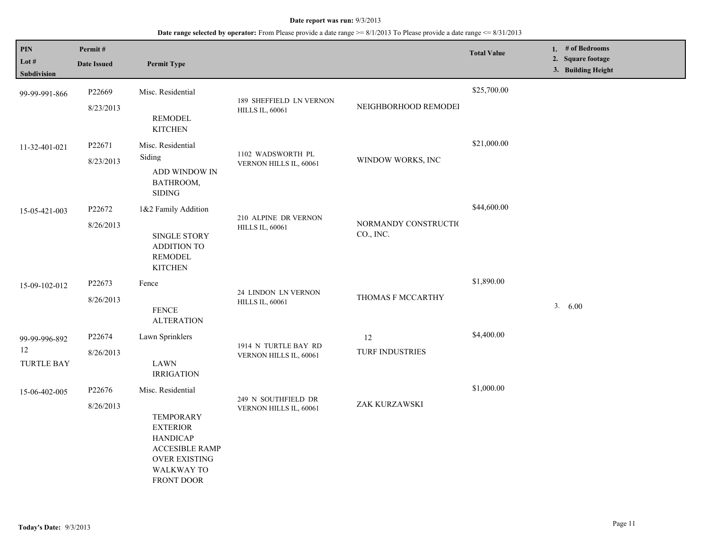| $\mathbf{PIN}$<br>Lot $#$<br>Subdivision | Permit#<br><b>Date Issued</b> | <b>Permit Type</b>                                                                                                                                       |                                                   |                                   | <b>Total Value</b> | 1. # of Bedrooms<br>2. Square footage<br>3. Building Height |
|------------------------------------------|-------------------------------|----------------------------------------------------------------------------------------------------------------------------------------------------------|---------------------------------------------------|-----------------------------------|--------------------|-------------------------------------------------------------|
| 99-99-991-866                            | P22669<br>8/23/2013           | Misc. Residential<br><b>REMODEL</b><br><b>KITCHEN</b>                                                                                                    | 189 SHEFFIELD LN VERNON<br><b>HILLS IL, 60061</b> | NEIGHBORHOOD REMODEI              | \$25,700.00        |                                                             |
| 11-32-401-021                            | P22671<br>8/23/2013           | Misc. Residential<br>Siding<br>ADD WINDOW IN<br>BATHROOM,<br><b>SIDING</b>                                                                               | 1102 WADSWORTH PL<br>VERNON HILLS IL, 60061       | WINDOW WORKS, INC                 | \$21,000.00        |                                                             |
| 15-05-421-003                            | P22672<br>8/26/2013           | 1&2 Family Addition<br><b>SINGLE STORY</b><br>ADDITION TO<br><b>REMODEL</b><br><b>KITCHEN</b>                                                            | 210 ALPINE DR VERNON<br><b>HILLS IL, 60061</b>    | NORMANDY CONSTRUCTIC<br>CO., INC. | \$44,600.00        |                                                             |
| 15-09-102-012                            | P22673<br>8/26/2013           | Fence<br><b>FENCE</b><br><b>ALTERATION</b>                                                                                                               | 24 LINDON LN VERNON<br><b>HILLS IL, 60061</b>     | THOMAS F MCCARTHY                 | \$1,890.00         | 3. 6.00                                                     |
| 99-99-996-892<br>12<br><b>TURTLE BAY</b> | P22674<br>8/26/2013           | Lawn Sprinklers<br><b>LAWN</b><br><b>IRRIGATION</b>                                                                                                      | 1914 N TURTLE BAY RD<br>VERNON HILLS IL, 60061    | 12<br>TURF INDUSTRIES             | \$4,400.00         |                                                             |
| 15-06-402-005                            | P22676<br>8/26/2013           | Misc. Residential<br><b>TEMPORARY</b><br><b>EXTERIOR</b><br><b>HANDICAP</b><br><b>ACCESIBLE RAMP</b><br><b>OVER EXISTING</b><br>WALKWAY TO<br>FRONT DOOR | 249 N SOUTHFIELD DR<br>VERNON HILLS IL, 60061     | ZAK KURZAWSKI                     | \$1,000.00         |                                                             |